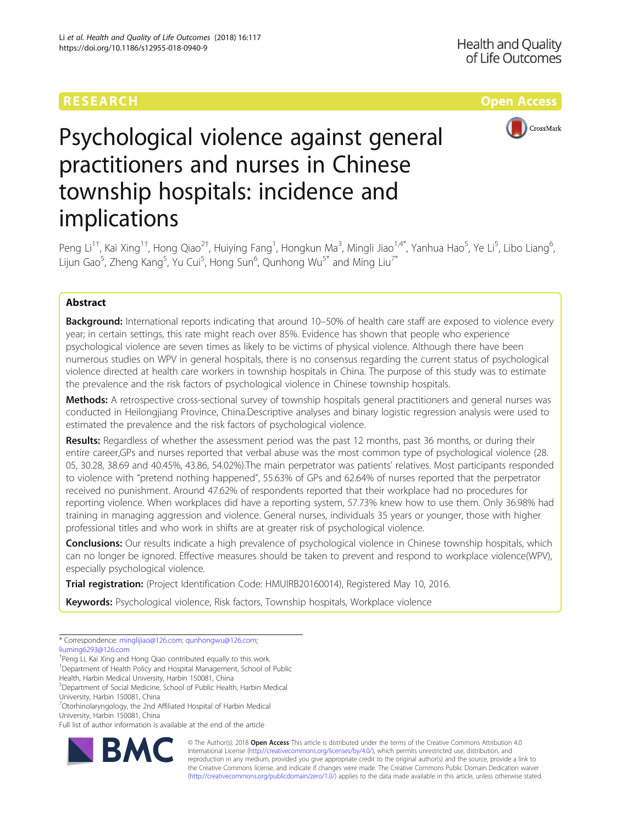# RESEARCH **RESEARCH CONSUMING THE CONSUMING TEACHER CONSUMING THE CONSUMING TEACHER CONSUMING THE CONSUMING TEACHER CONSUMING THE CONSUMING TEACHER CONSUMING THE CONSUMING TEACHER CONSUMING THE CONSUMING TEACHER CONSUMING**



# Psychological violence against general practitioners and nurses in Chinese township hospitals: incidence and implications

Peng Li<sup>1†</sup>, Kai Xing<sup>1†</sup>, Hong Qiao<sup>2†</sup>, Huiying Fang<sup>1</sup>, Hongkun Ma<sup>3</sup>, Mingli Jiao<sup>1,4\*</sup>, Yanhua Hao<sup>5</sup>, Ye Li<sup>5</sup>, Libo Liang<sup>6</sup> , Lijun Gao $^5$ , Zheng Kang $^5$ , Yu Cui $^5$ , Hong Sun $^6$ , Qunhong Wu $^{5^\ast}$  and Ming Liu $^{7^\ast}$ 

# Abstract

**Background:** International reports indicating that around 10–50% of health care staff are exposed to violence every year; in certain settings, this rate might reach over 85%. Evidence has shown that people who experience psychological violence are seven times as likely to be victims of physical violence. Although there have been numerous studies on WPV in general hospitals, there is no consensus regarding the current status of psychological violence directed at health care workers in township hospitals in China. The purpose of this study was to estimate the prevalence and the risk factors of psychological violence in Chinese township hospitals.

Methods: A retrospective cross-sectional survey of township hospitals general practitioners and general nurses was conducted in Heilongjiang Province, China.Descriptive analyses and binary logistic regression analysis were used to estimated the prevalence and the risk factors of psychological violence.

Results: Regardless of whether the assessment period was the past 12 months, past 36 months, or during their entire career,GPs and nurses reported that verbal abuse was the most common type of psychological violence (28. 05, 30.28, 38.69 and 40.45%, 43.86, 54.02%).The main perpetrator was patients' relatives. Most participants responded to violence with "pretend nothing happened", 55.63% of GPs and 62.64% of nurses reported that the perpetrator received no punishment. Around 47.62% of respondents reported that their workplace had no procedures for reporting violence. When workplaces did have a reporting system, 57.73% knew how to use them. Only 36.98% had training in managing aggression and violence. General nurses, individuals 35 years or younger, those with higher professional titles and who work in shifts are at greater risk of psychological violence.

**Conclusions:** Our results indicate a high prevalence of psychological violence in Chinese township hospitals, which can no longer be ignored. Effective measures should be taken to prevent and respond to workplace violence(WPV), especially psychological violence.

Trial registration: (Project Identification Code: HMUIRB20160014), Registered May 10, 2016.

Keywords: Psychological violence, Risk factors, Township hospitals, Workplace violence

† Peng Li, Kai Xing and Hong Qiao contributed equally to this work.

<sup>1</sup>Department of Health Policy and Hospital Management, School of Public

Health, Harbin Medical University, Harbin 150081, China

5 Department of Social Medicine, School of Public Health, Harbin Medical University, Harbin 150081, China

<sup>7</sup>Otorhinolaryngology, the 2nd Affiliated Hospital of Harbin Medical University, Harbin 150081, China

Full list of author information is available at the end of the article



© The Author(s). 2018 Open Access This article is distributed under the terms of the Creative Commons Attribution 4.0 International License [\(http://creativecommons.org/licenses/by/4.0/](http://creativecommons.org/licenses/by/4.0/)), which permits unrestricted use, distribution, and reproduction in any medium, provided you give appropriate credit to the original author(s) and the source, provide a link to the Creative Commons license, and indicate if changes were made. The Creative Commons Public Domain Dedication waiver [\(http://creativecommons.org/publicdomain/zero/1.0/](http://creativecommons.org/publicdomain/zero/1.0/)) applies to the data made available in this article, unless otherwise stated.

<sup>\*</sup> Correspondence: [minglijiao@126.com;](mailto:minglijiao@126.com) [qunhongwu@126.com](mailto:qunhongwu@126.com); [liuming6293@126.com](mailto:liuming6293@126.com)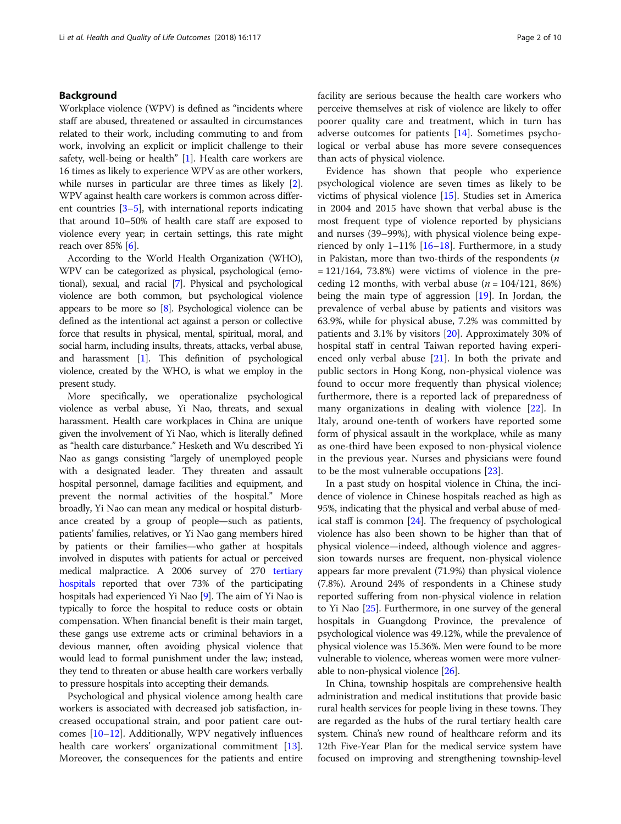# <span id="page-1-0"></span>Background

Workplace violence (WPV) is defined as "incidents where staff are abused, threatened or assaulted in circumstances related to their work, including commuting to and from work, involving an explicit or implicit challenge to their safety, well-being or health" [[1](#page-8-0)]. Health care workers are 16 times as likely to experience WPV as are other workers, while nurses in particular are three times as likely [[2](#page-8-0)]. WPV against health care workers is common across different countries [\[3](#page-8-0)–[5\]](#page-8-0), with international reports indicating that around 10–50% of health care staff are exposed to violence every year; in certain settings, this rate might reach over 85% [\[6](#page-8-0)].

According to the World Health Organization (WHO), WPV can be categorized as physical, psychological (emotional), sexual, and racial [\[7\]](#page-8-0). Physical and psychological violence are both common, but psychological violence appears to be more so [[8\]](#page-8-0). Psychological violence can be defined as the intentional act against a person or collective force that results in physical, mental, spiritual, moral, and social harm, including insults, threats, attacks, verbal abuse, and harassment [[1](#page-8-0)]. This definition of psychological violence, created by the WHO, is what we employ in the present study.

More specifically, we operationalize psychological violence as verbal abuse, Yi Nao, threats, and sexual harassment. Health care workplaces in China are unique given the involvement of Yi Nao, which is literally defined as "health care disturbance." Hesketh and Wu described Yi Nao as gangs consisting "largely of unemployed people with a designated leader. They threaten and assault hospital personnel, damage facilities and equipment, and prevent the normal activities of the hospital." More broadly, Yi Nao can mean any medical or hospital disturbance created by a group of people—such as patients, patients' families, relatives, or Yi Nao gang members hired by patients or their families—who gather at hospitals involved in disputes with patients for actual or perceived medical malpractice. A 2006 survey of 270 [tertiary](http://en.wikipedia.org/wiki/Tertiary_hospital) [hospitals](http://en.wikipedia.org/wiki/Tertiary_hospital) reported that over 73% of the participating hospitals had experienced Yi Nao [\[9\]](#page-8-0). The aim of Yi Nao is typically to force the hospital to reduce costs or obtain compensation. When financial benefit is their main target, these gangs use extreme acts or criminal behaviors in a devious manner, often avoiding physical violence that would lead to formal punishment under the law; instead, they tend to threaten or abuse health care workers verbally to pressure hospitals into accepting their demands.

Psychological and physical violence among health care workers is associated with decreased job satisfaction, increased occupational strain, and poor patient care outcomes [\[10](#page-8-0)–[12\]](#page-8-0). Additionally, WPV negatively influences health care workers' organizational commitment [\[13](#page-8-0)]. Moreover, the consequences for the patients and entire facility are serious because the health care workers who perceive themselves at risk of violence are likely to offer poorer quality care and treatment, which in turn has adverse outcomes for patients [\[14](#page-8-0)]. Sometimes psychological or verbal abuse has more severe consequences than acts of physical violence.

Evidence has shown that people who experience psychological violence are seven times as likely to be victims of physical violence [[15](#page-8-0)]. Studies set in America in 2004 and 2015 have shown that verbal abuse is the most frequent type of violence reported by physicians and nurses (39–99%), with physical violence being experienced by only  $1-11\%$  [[16](#page-8-0)–[18](#page-8-0)]. Furthermore, in a study in Pakistan, more than two-thirds of the respondents  $(n)$  $= 121/164$ , 73.8%) were victims of violence in the preceding 12 months, with verbal abuse ( $n = 104/121$ , 86%) being the main type of aggression [[19\]](#page-8-0). In Jordan, the prevalence of verbal abuse by patients and visitors was 63.9%, while for physical abuse, 7.2% was committed by patients and 3.1% by visitors [[20](#page-8-0)]. Approximately 30% of hospital staff in central Taiwan reported having experienced only verbal abuse  $[21]$ . In both the private and public sectors in Hong Kong, non-physical violence was found to occur more frequently than physical violence; furthermore, there is a reported lack of preparedness of many organizations in dealing with violence [[22\]](#page-8-0). In Italy, around one-tenth of workers have reported some form of physical assault in the workplace, while as many as one-third have been exposed to non-physical violence in the previous year. Nurses and physicians were found to be the most vulnerable occupations [[23](#page-8-0)].

In a past study on hospital violence in China, the incidence of violence in Chinese hospitals reached as high as 95%, indicating that the physical and verbal abuse of medical staff is common [[24](#page-8-0)]. The frequency of psychological violence has also been shown to be higher than that of physical violence—indeed, although violence and aggression towards nurses are frequent, non-physical violence appears far more prevalent (71.9%) than physical violence (7.8%). Around 24% of respondents in a Chinese study reported suffering from non-physical violence in relation to Yi Nao [[25](#page-8-0)]. Furthermore, in one survey of the general hospitals in Guangdong Province, the prevalence of psychological violence was 49.12%, while the prevalence of physical violence was 15.36%. Men were found to be more vulnerable to violence, whereas women were more vulnerable to non-physical violence [\[26\]](#page-8-0).

In China, township hospitals are comprehensive health administration and medical institutions that provide basic rural health services for people living in these towns. They are regarded as the hubs of the rural tertiary health care system. China's new round of healthcare reform and its 12th Five-Year Plan for the medical service system have focused on improving and strengthening township-level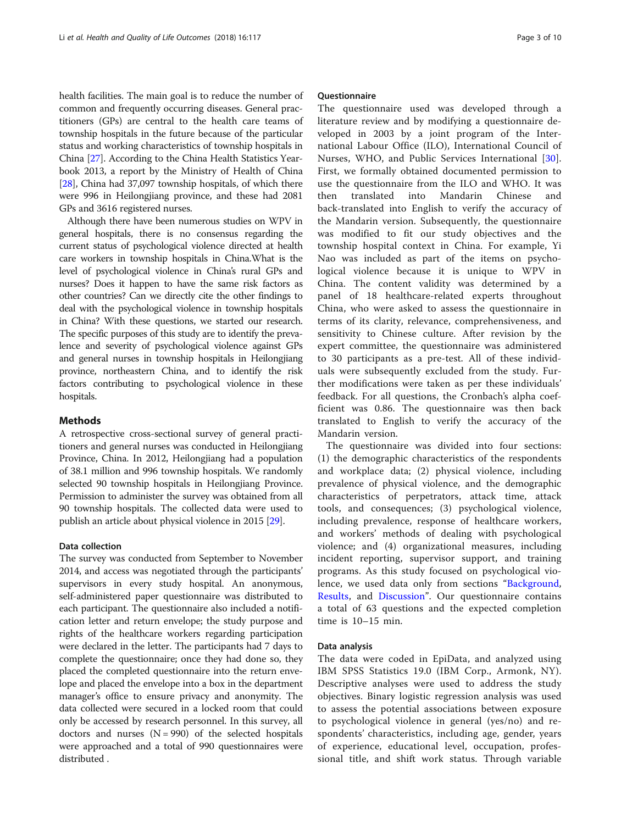health facilities. The main goal is to reduce the number of common and frequently occurring diseases. General practitioners (GPs) are central to the health care teams of township hospitals in the future because of the particular status and working characteristics of township hospitals in China [[27](#page-8-0)]. According to the China Health Statistics Yearbook 2013, a report by the Ministry of Health of China [[28](#page-8-0)], China had 37,097 township hospitals, of which there were 996 in Heilongjiang province, and these had 2081 GPs and 3616 registered nurses.

Although there have been numerous studies on WPV in general hospitals, there is no consensus regarding the current status of psychological violence directed at health care workers in township hospitals in China.What is the level of psychological violence in China's rural GPs and nurses? Does it happen to have the same risk factors as other countries? Can we directly cite the other findings to deal with the psychological violence in township hospitals in China? With these questions, we started our research. The specific purposes of this study are to identify the prevalence and severity of psychological violence against GPs and general nurses in township hospitals in Heilongjiang province, northeastern China, and to identify the risk factors contributing to psychological violence in these hospitals.

# Methods

A retrospective cross-sectional survey of general practitioners and general nurses was conducted in Heilongjiang Province, China. In 2012, Heilongjiang had a population of 38.1 million and 996 township hospitals. We randomly selected 90 township hospitals in Heilongjiang Province. Permission to administer the survey was obtained from all 90 township hospitals. The collected data were used to publish an article about physical violence in 2015 [[29](#page-8-0)].

# Data collection

The survey was conducted from September to November 2014, and access was negotiated through the participants' supervisors in every study hospital. An anonymous, self-administered paper questionnaire was distributed to each participant. The questionnaire also included a notification letter and return envelope; the study purpose and rights of the healthcare workers regarding participation were declared in the letter. The participants had 7 days to complete the questionnaire; once they had done so, they placed the completed questionnaire into the return envelope and placed the envelope into a box in the department manager's office to ensure privacy and anonymity. The data collected were secured in a locked room that could only be accessed by research personnel. In this survey, all doctors and nurses  $(N = 990)$  of the selected hospitals were approached and a total of 990 questionnaires were distributed .

# **Ouestionnaire**

The questionnaire used was developed through a literature review and by modifying a questionnaire developed in 2003 by a joint program of the International Labour Office (ILO), International Council of Nurses, WHO, and Public Services International [\[30](#page-8-0)]. First, we formally obtained documented permission to use the questionnaire from the ILO and WHO. It was then translated into Mandarin Chinese and back-translated into English to verify the accuracy of the Mandarin version. Subsequently, the questionnaire was modified to fit our study objectives and the township hospital context in China. For example, Yi Nao was included as part of the items on psychological violence because it is unique to WPV in China. The content validity was determined by a panel of 18 healthcare-related experts throughout China, who were asked to assess the questionnaire in terms of its clarity, relevance, comprehensiveness, and sensitivity to Chinese culture. After revision by the expert committee, the questionnaire was administered to 30 participants as a pre-test. All of these individuals were subsequently excluded from the study. Further modifications were taken as per these individuals' feedback. For all questions, the Cronbach's alpha coefficient was 0.86. The questionnaire was then back translated to English to verify the accuracy of the Mandarin version.

The questionnaire was divided into four sections: (1) the demographic characteristics of the respondents and workplace data; (2) physical violence, including prevalence of physical violence, and the demographic characteristics of perpetrators, attack time, attack tools, and consequences; (3) psychological violence, including prevalence, response of healthcare workers, and workers' methods of dealing with psychological violence; and (4) organizational measures, including incident reporting, supervisor support, and training programs. As this study focused on psychological violence, we used data only from sections "[Background](#page-1-0), [Results](#page-3-0), and [Discussion](#page-5-0)". Our questionnaire contains a total of 63 questions and the expected completion time is 10–15 min.

### Data analysis

The data were coded in EpiData, and analyzed using IBM SPSS Statistics 19.0 (IBM Corp., Armonk, NY). Descriptive analyses were used to address the study objectives. Binary logistic regression analysis was used to assess the potential associations between exposure to psychological violence in general (yes/no) and respondents' characteristics, including age, gender, years of experience, educational level, occupation, professional title, and shift work status. Through variable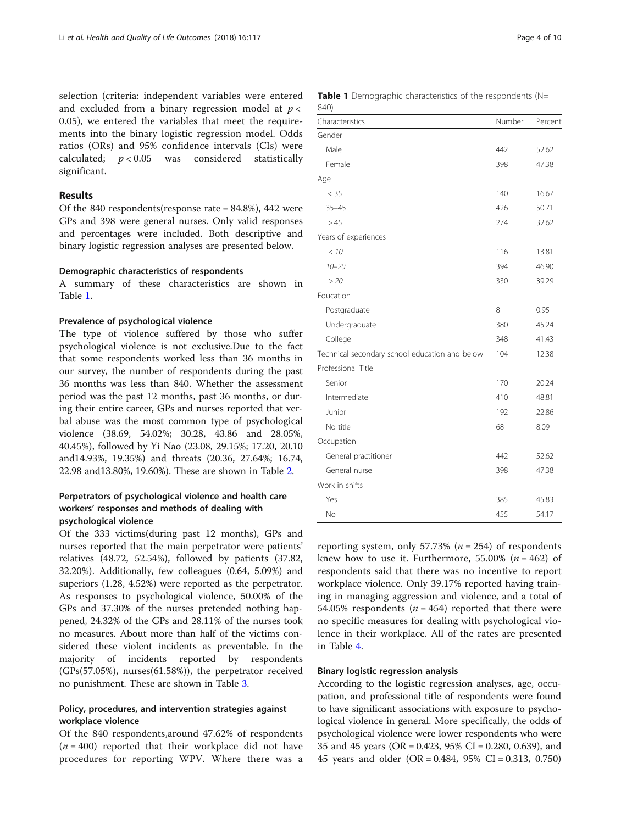<span id="page-3-0"></span>selection (criteria: independent variables were entered and excluded from a binary regression model at  $p <$ 0.05), we entered the variables that meet the requirements into the binary logistic regression model. Odds ratios (ORs) and 95% confidence intervals (CIs) were calculated;  $p < 0.05$  was considered statistically significant.

# Results

Of the 840 respondents(response rate = 84.8%), 442 were GPs and 398 were general nurses. Only valid responses and percentages were included. Both descriptive and binary logistic regression analyses are presented below.

#### Demographic characteristics of respondents

A summary of these characteristics are shown in Table 1.

## Prevalence of psychological violence

The type of violence suffered by those who suffer psychological violence is not exclusive.Due to the fact that some respondents worked less than 36 months in our survey, the number of respondents during the past 36 months was less than 840. Whether the assessment period was the past 12 months, past 36 months, or during their entire career, GPs and nurses reported that verbal abuse was the most common type of psychological violence (38.69, 54.02%; 30.28, 43.86 and 28.05%, 40.45%), followed by Yi Nao (23.08, 29.15%; 17.20, 20.10 and14.93%, 19.35%) and threats (20.36, 27.64%; 16.74, 22.98 and13.80%, 19.60%). These are shown in Table [2](#page-4-0).

# Perpetrators of psychological violence and health care workers' responses and methods of dealing with psychological violence

Of the 333 victims(during past 12 months), GPs and nurses reported that the main perpetrator were patients' relatives (48.72, 52.54%), followed by patients (37.82, 32.20%). Additionally, few colleagues (0.64, 5.09%) and superiors (1.28, 4.52%) were reported as the perpetrator. As responses to psychological violence, 50.00% of the GPs and 37.30% of the nurses pretended nothing happened, 24.32% of the GPs and 28.11% of the nurses took no measures. About more than half of the victims considered these violent incidents as preventable. In the majority of incidents reported by respondents (GPs(57.05%), nurses(61.58%)), the perpetrator received no punishment. These are shown in Table [3.](#page-4-0)

# Policy, procedures, and intervention strategies against workplace violence

Of the 840 respondents,around 47.62% of respondents  $(n = 400)$  reported that their workplace did not have procedures for reporting WPV. Where there was a

|      | <b>Table 1</b> Demographic characteristics of the respondents (N= |  |
|------|-------------------------------------------------------------------|--|
| 840) |                                                                   |  |

| Characteristics                                | Number | Percent |
|------------------------------------------------|--------|---------|
| Gender                                         |        |         |
| Male                                           | 442    | 52.62   |
| Female                                         | 398    | 47.38   |
| Age                                            |        |         |
| $<$ 35                                         | 140    | 16.67   |
| $35 - 45$                                      | 426    | 50.71   |
| >45                                            | 274    | 32.62   |
| Years of experiences                           |        |         |
| < 10                                           | 116    | 13.81   |
| $10 - 20$                                      | 394    | 46.90   |
| > 20                                           | 330    | 39.29   |
| Education                                      |        |         |
| Postgraduate                                   | 8      | 0.95    |
| Undergraduate                                  | 380    | 45.24   |
| College                                        | 348    | 41.43   |
| Technical secondary school education and below | 104    | 12.38   |
| Professional Title                             |        |         |
| Senior                                         | 170    | 20.24   |
| Intermediate                                   | 410    | 48.81   |
| Junior                                         | 192    | 22.86   |
| No title                                       | 68     | 8.09    |
| Occupation                                     |        |         |
| General practitioner                           | 442    | 52.62   |
| General nurse                                  | 398    | 47.38   |
| Work in shifts                                 |        |         |
| Yes                                            | 385    | 45.83   |
| <b>No</b>                                      | 455    | 54.17   |

reporting system, only 57.73% ( $n = 254$ ) of respondents knew how to use it. Furthermore, 55.00% ( $n = 462$ ) of respondents said that there was no incentive to report workplace violence. Only 39.17% reported having training in managing aggression and violence, and a total of 54.05% respondents ( $n = 454$ ) reported that there were no specific measures for dealing with psychological violence in their workplace. All of the rates are presented in Table [4](#page-5-0).

# Binary logistic regression analysis

According to the logistic regression analyses, age, occupation, and professional title of respondents were found to have significant associations with exposure to psychological violence in general. More specifically, the odds of psychological violence were lower respondents who were 35 and 45 years (OR = 0.423, 95% CI = 0.280, 0.639), and 45 years and older (OR = 0.484, 95% CI = 0.313, 0.750)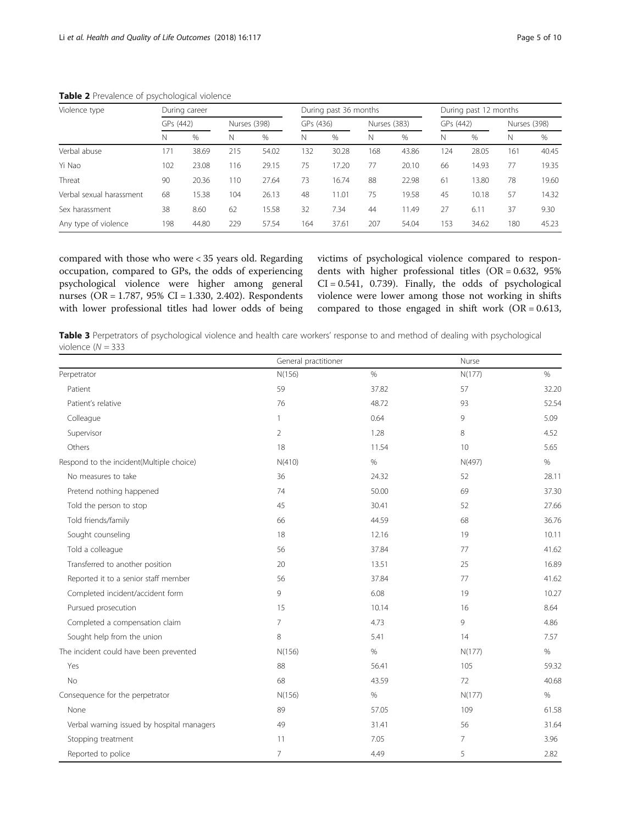| Violence type            |           | During career |              |       |     | During past 36 months |     |              | During past 12 months |           |     |              |  |
|--------------------------|-----------|---------------|--------------|-------|-----|-----------------------|-----|--------------|-----------------------|-----------|-----|--------------|--|
|                          | GPs (442) |               | Nurses (398) |       |     | GPs (436)             |     | Nurses (383) |                       | GPs (442) |     | Nurses (398) |  |
|                          | N         | $\%$          | N            | $\%$  | Ν   | %                     | Ν   | %            | N                     | %         | N   | %            |  |
| Verbal abuse             | 171       | 38.69         | 215          | 54.02 | 132 | 30.28                 | 168 | 43.86        | 124                   | 28.05     | 161 | 40.45        |  |
| Yi Nao                   | 102       | 23.08         | 116          | 29.15 | 75  | 17.20                 | 77  | 20.10        | 66                    | 14.93     | 77  | 19.35        |  |
| Threat                   | 90        | 20.36         | 110          | 27.64 | 73  | 16.74                 | 88  | 22.98        | 61                    | 13.80     | 78  | 19.60        |  |
| Verbal sexual harassment | 68        | 15.38         | 104          | 26.13 | 48  | 11.01                 | 75  | 19.58        | 45                    | 10.18     | 57  | 14.32        |  |
| Sex harassment           | 38        | 8.60          | 62           | 15.58 | 32  | 7.34                  | 44  | 11.49        | 27                    | 6.11      | 37  | 9.30         |  |
| Any type of violence     | 198       | 44.80         | 229          | 57.54 | 164 | 37.61                 | 207 | 54.04        | 153                   | 34.62     | 180 | 45.23        |  |

<span id="page-4-0"></span>Table 2 Prevalence of psychological violence

compared with those who were < 35 years old. Regarding occupation, compared to GPs, the odds of experiencing psychological violence were higher among general nurses (OR = 1.787, 95% CI = 1.330, 2.402). Respondents with lower professional titles had lower odds of being victims of psychological violence compared to respondents with higher professional titles (OR = 0.632, 95%  $CI = 0.541, 0.739$ . Finally, the odds of psychological violence were lower among those not working in shifts compared to those engaged in shift work  $(OR = 0.613,$ 

Table 3 Perpetrators of psychological violence and health care workers' response to and method of dealing with psychological violence ( $N = 333$ 

|                                            | General practitioner |               | Nurse  |       |
|--------------------------------------------|----------------------|---------------|--------|-------|
| Perpetrator                                | N(156)               | $\frac{0}{0}$ | N(177) | $\%$  |
| Patient                                    | 59                   | 37.82         | 57     | 32.20 |
| Patient's relative                         | 76                   | 48.72         | 93     | 52.54 |
| Colleague                                  | $\mathbf{1}$         | 0.64          | 9      | 5.09  |
| Supervisor                                 | $\overline{2}$       | 1.28          | 8      | 4.52  |
| Others                                     | 18                   | 11.54         | 10     | 5.65  |
| Respond to the incident(Multiple choice)   | N(410)               | $\%$          | N(497) | $\%$  |
| No measures to take                        | 36                   | 24.32         | 52     | 28.11 |
| Pretend nothing happened                   | 74                   | 50.00         | 69     | 37.30 |
| Told the person to stop                    | 45                   | 30.41         | 52     | 27.66 |
| Told friends/family                        | 66                   | 44.59         | 68     | 36.76 |
| Sought counseling                          | 18                   | 12.16         | 19     | 10.11 |
| Told a colleague                           | 56                   | 37.84         | 77     | 41.62 |
| Transferred to another position            | 20                   | 13.51         | 25     | 16.89 |
| Reported it to a senior staff member       | 56                   | 37.84         | 77     | 41.62 |
| Completed incident/accident form           | 9                    | 6.08          | 19     | 10.27 |
| Pursued prosecution                        | 15                   | 10.14         | 16     | 8.64  |
| Completed a compensation claim             | $\overline{7}$       | 4.73          | 9      | 4.86  |
| Sought help from the union                 | 8                    | 5.41          | 14     | 7.57  |
| The incident could have been prevented     | N(156)               | $\%$          | N(177) | $\%$  |
| Yes                                        | 88                   | 56.41         | 105    | 59.32 |
| <b>No</b>                                  | 68                   | 43.59         | 72     | 40.68 |
| Consequence for the perpetrator            | N(156)               | $\%$          | N(177) | $\%$  |
| None                                       | 89                   | 57.05         | 109    | 61.58 |
| Verbal warning issued by hospital managers | 49                   | 31.41         | 56     | 31.64 |
| Stopping treatment                         | 11                   | 7.05          | 7      | 3.96  |
| Reported to police                         | $\overline{7}$       | 4.49          | 5      | 2.82  |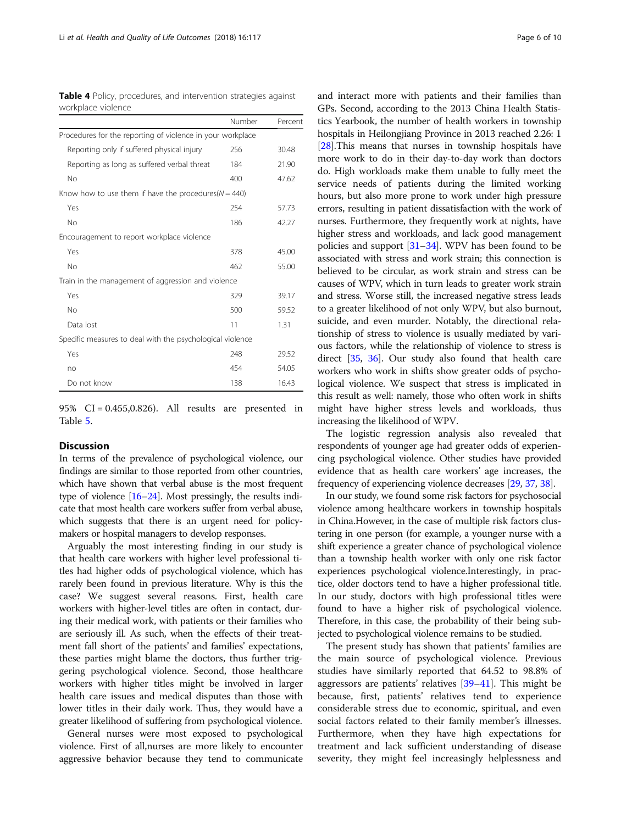<span id="page-5-0"></span>Table 4 Policy, procedures, and intervention strategies against workplace violence

|                                                            | Number | Percent |
|------------------------------------------------------------|--------|---------|
| Procedures for the reporting of violence in your workplace |        |         |
| Reporting only if suffered physical injury                 | 256    | 30.48   |
| Reporting as long as suffered verbal threat                | 184    | 21.90   |
| No                                                         | 400    | 47.62   |
| Know how to use them if have the procedures $(N = 440)$    |        |         |
| Yes                                                        | 254    | 57.73   |
| No                                                         | 186    | 42.27   |
| Encouragement to report workplace violence                 |        |         |
| Yes                                                        | 378    | 45.00   |
| No                                                         | 462    | 55.00   |
| Train in the management of aggression and violence         |        |         |
| Yes                                                        | 329    | 39.17   |
| No                                                         | 500    | 59.52   |
| Data lost                                                  | 11     | 1.31    |
| Specific measures to deal with the psychological violence  |        |         |
| Yes                                                        | 248    | 29.52   |
| no                                                         | 454    | 54.05   |
| Do not know                                                | 138    | 16.43   |

95% CI = 0.455,0.826). All results are presented in Table [5.](#page-6-0)

# Discussion

In terms of the prevalence of psychological violence, our findings are similar to those reported from other countries, which have shown that verbal abuse is the most frequent type of violence [\[16](#page-8-0)–[24\]](#page-8-0). Most pressingly, the results indicate that most health care workers suffer from verbal abuse, which suggests that there is an urgent need for policymakers or hospital managers to develop responses.

Arguably the most interesting finding in our study is that health care workers with higher level professional titles had higher odds of psychological violence, which has rarely been found in previous literature. Why is this the case? We suggest several reasons. First, health care workers with higher-level titles are often in contact, during their medical work, with patients or their families who are seriously ill. As such, when the effects of their treatment fall short of the patients' and families' expectations, these parties might blame the doctors, thus further triggering psychological violence. Second, those healthcare workers with higher titles might be involved in larger health care issues and medical disputes than those with lower titles in their daily work. Thus, they would have a greater likelihood of suffering from psychological violence.

General nurses were most exposed to psychological violence. First of all,nurses are more likely to encounter aggressive behavior because they tend to communicate and interact more with patients and their families than GPs. Second, according to the 2013 China Health Statistics Yearbook, the number of health workers in township hospitals in Heilongjiang Province in 2013 reached 2.26: 1 [[28](#page-8-0)].This means that nurses in township hospitals have more work to do in their day-to-day work than doctors do. High workloads make them unable to fully meet the service needs of patients during the limited working hours, but also more prone to work under high pressure errors, resulting in patient dissatisfaction with the work of nurses. Furthermore, they frequently work at nights, have higher stress and workloads, and lack good management policies and support [\[31](#page-8-0)–[34](#page-8-0)]. WPV has been found to be associated with stress and work strain; this connection is believed to be circular, as work strain and stress can be causes of WPV, which in turn leads to greater work strain and stress. Worse still, the increased negative stress leads to a greater likelihood of not only WPV, but also burnout, suicide, and even murder. Notably, the directional relationship of stress to violence is usually mediated by various factors, while the relationship of violence to stress is direct [\[35,](#page-8-0) [36\]](#page-8-0). Our study also found that health care workers who work in shifts show greater odds of psychological violence. We suspect that stress is implicated in this result as well: namely, those who often work in shifts might have higher stress levels and workloads, thus increasing the likelihood of WPV.

The logistic regression analysis also revealed that respondents of younger age had greater odds of experiencing psychological violence. Other studies have provided evidence that as health care workers' age increases, the frequency of experiencing violence decreases [[29](#page-8-0), [37,](#page-8-0) [38\]](#page-8-0).

In our study, we found some risk factors for psychosocial violence among healthcare workers in township hospitals in China.However, in the case of multiple risk factors clustering in one person (for example, a younger nurse with a shift experience a greater chance of psychological violence than a township health worker with only one risk factor experiences psychological violence.Interestingly, in practice, older doctors tend to have a higher professional title. In our study, doctors with high professional titles were found to have a higher risk of psychological violence. Therefore, in this case, the probability of their being subjected to psychological violence remains to be studied.

The present study has shown that patients' families are the main source of psychological violence. Previous studies have similarly reported that 64.52 to 98.8% of aggressors are patients' relatives [[39](#page-8-0)–[41\]](#page-8-0). This might be because, first, patients' relatives tend to experience considerable stress due to economic, spiritual, and even social factors related to their family member's illnesses. Furthermore, when they have high expectations for treatment and lack sufficient understanding of disease severity, they might feel increasingly helplessness and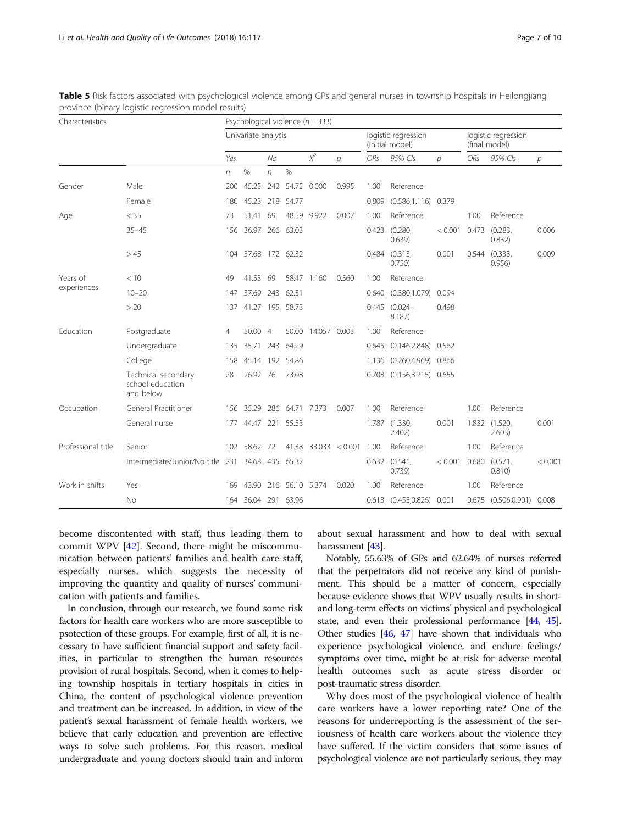| Characteristics    |                                                      | Psychological violence ( $n = 333$ ) |                           |            |                       |                    |                        |            |                                        |               |                                      |                           |               |
|--------------------|------------------------------------------------------|--------------------------------------|---------------------------|------------|-----------------------|--------------------|------------------------|------------|----------------------------------------|---------------|--------------------------------------|---------------------------|---------------|
|                    |                                                      |                                      | Univariate analysis       |            |                       |                    |                        |            | logistic regression<br>(initial model) |               | logistic regression<br>(final model) |                           |               |
|                    |                                                      | Yes                                  |                           | No         |                       | $X^2$              | $\overline{p}$         | <b>ORs</b> | 95% CIs                                | $\mathcal{P}$ | ORs                                  | 95% CIs                   | $\mathcal{P}$ |
|                    |                                                      | n                                    | $\%$                      | $\sqrt{n}$ | $\frac{0}{6}$         |                    |                        |            |                                        |               |                                      |                           |               |
| Gender             | Male                                                 | 200                                  |                           |            | 45.25 242 54.75 0.000 |                    | 0.995                  | 1.00       | Reference                              |               |                                      |                           |               |
|                    | Female                                               | 180                                  | 45.23 218 54.77           |            |                       |                    |                        | 0.809      | $(0.586, 1.116)$ 0.379                 |               |                                      |                           |               |
| Age                | $<$ 35                                               | 73                                   | 51.41                     | 69         | 48.59 9.922           |                    | 0.007                  | 1.00       | Reference                              |               | 1.00                                 | Reference                 |               |
|                    | $35 - 45$                                            | 156                                  | 36.97 266 63.03           |            |                       |                    |                        | 0.423      | (0.280,<br>0.639                       | < 0.001       | 0.473                                | (0.283,<br>0.832)         | 0.006         |
|                    | >45                                                  |                                      | 104 37.68 172 62.32       |            |                       |                    |                        |            | 0.484 (0.313,<br>0.750                 | 0.001         | 0.544                                | (0.333,<br>0.956          | 0.009         |
| Years of           | < 10                                                 | 49                                   | 41.53 69                  |            |                       | 58.47 1.160        | 0.560                  | 1.00       | Reference                              |               |                                      |                           |               |
| experiences        | $10 - 20$                                            | 147                                  | 37.69                     |            | 243 62.31             |                    |                        | 0.640      | (0.380, 1.079)                         | 0.094         |                                      |                           |               |
|                    | > 20                                                 |                                      | 137 41.27 195 58.73       |            |                       |                    |                        | 0.445      | $(0.024 -$<br>8.187)                   | 0.498         |                                      |                           |               |
| Education          | Postgraduate                                         | 4                                    | 50.00 4                   |            |                       | 50.00 14.057 0.003 |                        | 1.00       | Reference                              |               |                                      |                           |               |
|                    | Undergraduate                                        | 135                                  | 35.71                     |            | 243 64.29             |                    |                        | 0.645      | $(0.146, 2.848)$ 0.562                 |               |                                      |                           |               |
|                    | College                                              |                                      | 158 45.14 192 54.86       |            |                       |                    |                        |            | 1.136 (0.260,4.969) 0.866              |               |                                      |                           |               |
|                    | Technical secondary<br>school education<br>and below | 28                                   | 26.92 76                  |            | 73.08                 |                    |                        |            | 0.708 (0.156,3.215) 0.655              |               |                                      |                           |               |
| Occupation         | General Practitioner                                 |                                      | 156 35.29 286 64.71 7.373 |            |                       |                    | 0.007                  | 1.00       | Reference                              |               | 1.00                                 | Reference                 |               |
|                    | General nurse                                        |                                      | 177 44.47 221 55.53       |            |                       |                    |                        |            | 1.787 (1.330,<br>2.402                 | 0.001         | 1.832                                | (1.520,<br>2.603)         | 0.001         |
| Professional title | Senior                                               |                                      | 102 58.62 72              |            |                       |                    | $41.38$ 33.033 < 0.001 | 1.00       | Reference                              |               | 1.00                                 | Reference                 |               |
|                    | Intermediate/Junior/No title 231 34.68 435 65.32     |                                      |                           |            |                       |                    |                        |            | $0.632$ $(0.541,$<br>0.739             | < 0.001       | 0.680                                | (0.571,<br>0.810          | < 0.001       |
| Work in shifts     | Yes                                                  |                                      | 169 43.90 216 56.10 5.374 |            |                       |                    | 0.020                  | 1.00       | Reference                              |               | 1.00                                 | Reference                 |               |
|                    | <b>No</b>                                            |                                      | 164 36.04 291 63.96       |            |                       |                    |                        |            | 0.613 (0.455,0.826) 0.001              |               |                                      | 0.675 (0.506,0.901) 0.008 |               |

<span id="page-6-0"></span>Table 5 Risk factors associated with psychological violence among GPs and general nurses in township hospitals in Heilongjiang province (binary logistic regression model results)

become discontented with staff, thus leading them to commit WPV [\[42](#page-8-0)]. Second, there might be miscommunication between patients' families and health care staff, especially nurses, which suggests the necessity of improving the quantity and quality of nurses' communication with patients and families.

In conclusion, through our research, we found some risk factors for health care workers who are more susceptible to psotection of these groups. For example, first of all, it is necessary to have sufficient financial support and safety facilities, in particular to strengthen the human resources provision of rural hospitals. Second, when it comes to helping township hospitals in tertiary hospitals in cities in China, the content of psychological violence prevention and treatment can be increased. In addition, in view of the patient's sexual harassment of female health workers, we believe that early education and prevention are effective ways to solve such problems. For this reason, medical undergraduate and young doctors should train and inform

about sexual harassment and how to deal with sexual harassment [\[43\]](#page-8-0).

Notably, 55.63% of GPs and 62.64% of nurses referred that the perpetrators did not receive any kind of punishment. This should be a matter of concern, especially because evidence shows that WPV usually results in shortand long-term effects on victims' physical and psychological state, and even their professional performance [\[44,](#page-8-0) [45](#page-9-0)]. Other studies [[46](#page-9-0), [47\]](#page-9-0) have shown that individuals who experience psychological violence, and endure feelings/ symptoms over time, might be at risk for adverse mental health outcomes such as acute stress disorder or post-traumatic stress disorder.

Why does most of the psychological violence of health care workers have a lower reporting rate? One of the reasons for underreporting is the assessment of the seriousness of health care workers about the violence they have suffered. If the victim considers that some issues of psychological violence are not particularly serious, they may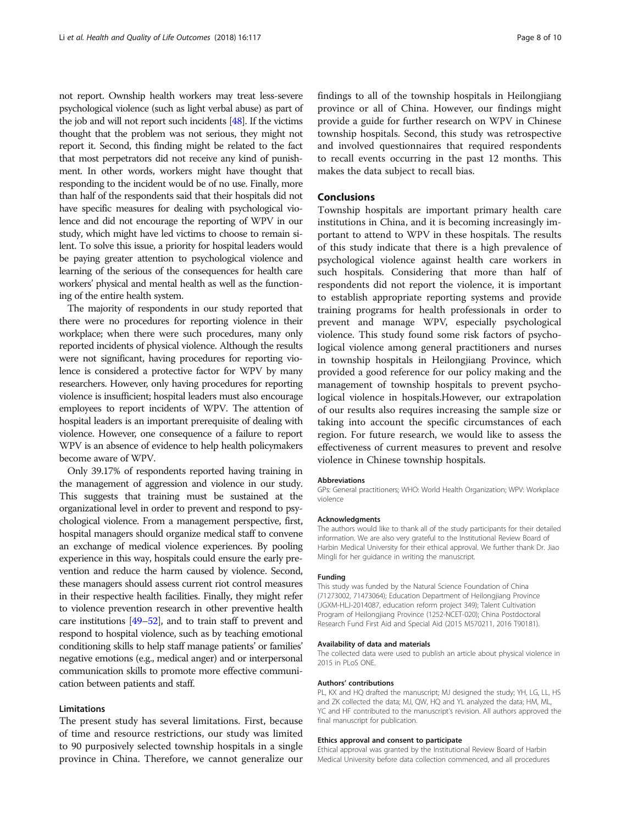not report. Ownship health workers may treat less-severe psychological violence (such as light verbal abuse) as part of the job and will not report such incidents [[48](#page-9-0)]. If the victims thought that the problem was not serious, they might not report it. Second, this finding might be related to the fact that most perpetrators did not receive any kind of punishment. In other words, workers might have thought that responding to the incident would be of no use. Finally, more than half of the respondents said that their hospitals did not have specific measures for dealing with psychological violence and did not encourage the reporting of WPV in our study, which might have led victims to choose to remain silent. To solve this issue, a priority for hospital leaders would be paying greater attention to psychological violence and learning of the serious of the consequences for health care workers' physical and mental health as well as the functioning of the entire health system.

The majority of respondents in our study reported that there were no procedures for reporting violence in their workplace; when there were such procedures, many only reported incidents of physical violence. Although the results were not significant, having procedures for reporting violence is considered a protective factor for WPV by many researchers. However, only having procedures for reporting violence is insufficient; hospital leaders must also encourage employees to report incidents of WPV. The attention of hospital leaders is an important prerequisite of dealing with violence. However, one consequence of a failure to report WPV is an absence of evidence to help health policymakers become aware of WPV.

Only 39.17% of respondents reported having training in the management of aggression and violence in our study. This suggests that training must be sustained at the organizational level in order to prevent and respond to psychological violence. From a management perspective, first, hospital managers should organize medical staff to convene an exchange of medical violence experiences. By pooling experience in this way, hospitals could ensure the early prevention and reduce the harm caused by violence. Second, these managers should assess current riot control measures in their respective health facilities. Finally, they might refer to violence prevention research in other preventive health care institutions [[49](#page-9-0)–[52](#page-9-0)], and to train staff to prevent and respond to hospital violence, such as by teaching emotional conditioning skills to help staff manage patients' or families' negative emotions (e.g., medical anger) and or interpersonal communication skills to promote more effective communication between patients and staff.

# Limitations

The present study has several limitations. First, because of time and resource restrictions, our study was limited to 90 purposively selected township hospitals in a single province in China. Therefore, we cannot generalize our findings to all of the township hospitals in Heilongjiang province or all of China. However, our findings might provide a guide for further research on WPV in Chinese township hospitals. Second, this study was retrospective and involved questionnaires that required respondents to recall events occurring in the past 12 months. This makes the data subject to recall bias.

# Conclusions

Township hospitals are important primary health care institutions in China, and it is becoming increasingly important to attend to WPV in these hospitals. The results of this study indicate that there is a high prevalence of psychological violence against health care workers in such hospitals. Considering that more than half of respondents did not report the violence, it is important to establish appropriate reporting systems and provide training programs for health professionals in order to prevent and manage WPV, especially psychological violence. This study found some risk factors of psychological violence among general practitioners and nurses in township hospitals in Heilongjiang Province, which provided a good reference for our policy making and the management of township hospitals to prevent psychological violence in hospitals.However, our extrapolation of our results also requires increasing the sample size or taking into account the specific circumstances of each region. For future research, we would like to assess the effectiveness of current measures to prevent and resolve violence in Chinese township hospitals.

#### Abbreviations

GPs: General practitioners; WHO: World Health Organization; WPV: Workplace violence

#### Acknowledgments

The authors would like to thank all of the study participants for their detailed information. We are also very grateful to the Institutional Review Board of Harbin Medical University for their ethical approval. We further thank Dr. Jiao Mingli for her guidance in writing the manuscript.

#### Funding

This study was funded by the Natural Science Foundation of China (71273002, 71473064); Education Department of Heilongjiang Province (JGXM-HLJ-2014087, education reform project 349); Talent Cultivation Program of Heilongjiang Province (1252-NCET-020); China Postdoctoral Research Fund First Aid and Special Aid (2015 M570211, 2016 T90181).

#### Availability of data and materials

The collected data were used to publish an article about physical violence in 2015 in PLoS ONE.

#### Authors' contributions

PL, KX and HQ drafted the manuscript; MJ designed the study; YH, LG, LL, HS and ZK collected the data; MJ, QW, HQ and YL analyzed the data; HM, ML, YC and HF contributed to the manuscript's revision. All authors approved the final manuscript for publication.

#### Ethics approval and consent to participate

Ethical approval was granted by the Institutional Review Board of Harbin Medical University before data collection commenced, and all procedures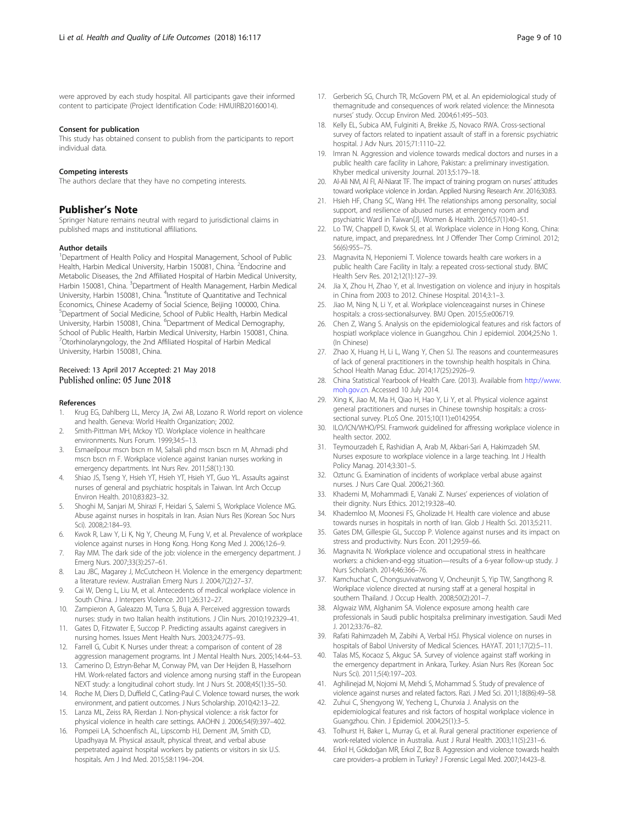<span id="page-8-0"></span>were approved by each study hospital. All participants gave their informed content to participate (Project Identification Code: HMUIRB20160014).

#### Consent for publication

This study has obtained consent to publish from the participants to report individual data.

#### Competing interests

The authors declare that they have no competing interests.

# Publisher's Note

Springer Nature remains neutral with regard to jurisdictional claims in published maps and institutional affiliations.

#### Author details

<sup>1</sup>Department of Health Policy and Hospital Management, School of Public Health, Harbin Medical University, Harbin 150081, China. <sup>2</sup>Endocrine and Metabolic Diseases, the 2nd Affiliated Hospital of Harbin Medical University, Harbin 150081, China. <sup>3</sup>Department of Health Management, Harbin Medical University, Harbin 150081, China. <sup>4</sup>Institute of Quantitative and Technical Economics, Chinese Academy of Social Science, Beijing 100000, China. 5 Department of Social Medicine, School of Public Health, Harbin Medical University, Harbin 150081, China. <sup>6</sup>Department of Medical Demography, School of Public Health, Harbin Medical University, Harbin 150081, China. <sup>7</sup>Otorhinolaryngology, the 2nd Affiliated Hospital of Harbin Medical University, Harbin 150081, China.

#### Received: 13 April 2017 Accepted: 21 May 2018 Published online: 05 June 2018

#### References

- 1. Krug EG, Dahlberg LL, Mercy JA, Zwi AB, Lozano R. World report on violence and health. Geneva: World Health Organization; 2002.
- 2. Smith-Pittman MH, Mckoy YD. Workplace violence in healthcare environments. Nurs Forum. 1999;34:5–13.
- 3. Esmaeilpour mscn bscn rn M, Salsali phd mscn bscn rn M, Ahmadi phd mscn bscn rn F. Workplace violence against Iranian nurses working in emergency departments. Int Nurs Rev. 2011;58(1):130.
- 4. Shiao JS, Tseng Y, Hsieh YT, Hsieh YT, Hsieh YT, Guo YL. Assaults against nurses of general and psychiatric hospitals in Taiwan. Int Arch Occup Environ Health. 2010;83:823–32.
- 5. Shoghi M, Sanjari M, Shirazi F, Heidari S, Salemi S, Workplace Violence MG. Abuse against nurses in hospitals in Iran. Asian Nurs Res (Korean Soc Nurs Sci). 2008;2:184–93.
- 6. Kwok R, Law Y, Li K, Ng Y, Cheung M, Fung V, et al. Prevalence of workplace violence against nurses in Hong Kong. Hong Kong Med J. 2006;12:6–9.
- 7. Ray MM. The dark side of the job: violence in the emergency department. J Emerg Nurs. 2007;33(3):257–61.
- 8. Lau JBC, Magarey J, McCutcheon H. Violence in the emergency department: a literature review. Australian Emerg Nurs J. 2004;7(2):27–37.
- 9. Cai W, Deng L, Liu M, et al. Antecedents of medical workplace violence in South China. J Interpers Violence. 2011;26:312–27.
- 10. Zampieron A, Galeazzo M, Turra S, Buja A. Perceived aggression towards nurses: study in two Italian health institutions. J Clin Nurs. 2010;19:2329–41.
- 11. Gates D, Fitzwater E, Succop P. Predicting assaults against caregivers in nursing homes. Issues Ment Health Nurs. 2003;24:775–93.
- 12. Farrell G, Cubit K. Nurses under threat: a comparison of content of 28 aggression management programs. Int J Mental Health Nurs. 2005;14:44–53.
- 13. Camerino D, Estryn-Behar M, Conway PM, van Der Heijden B, Hasselhorn HM. Work-related factors and violence among nursing staff in the European NEXT study: a longitudinal cohort study. Int J Nurs St. 2008;45(1):35–50.
- 14. Roche M, Diers D, Duffield C, Catling-Paul C. Violence toward nurses, the work environment, and patient outcomes. J Nurs Scholarship. 2010;42:13–22.
- 15. Lanza ML, Zeiss RA, Rierdan J. Non-physical violence: a risk factor for physical violence in health care settings. AAOHN J. 2006;54(9):397–402.
- 16. Pompeii LA, Schoenfisch AL, Lipscomb HJ, Dement JM, Smith CD, Upadhyaya M. Physical assault, physical threat, and verbal abuse perpetrated against hospital workers by patients or visitors in six U.S. hospitals. Am J Ind Med. 2015;58:1194–204.
- 17. Gerberich SG, Church TR, McGovern PM, et al. An epidemiological study of themagnitude and consequences of work related violence: the Minnesota nurses' study. Occup Environ Med. 2004;61:495–503.
- 18. Kelly EL, Subica AM, Fulginiti A, Brekke JS, Novaco RWA. Cross-sectional survey of factors related to inpatient assault of staff in a forensic psychiatric hospital. J Adv Nurs. 2015;71:1110–22.
- 19. Imran N. Aggression and violence towards medical doctors and nurses in a public health care facility in Lahore, Pakistan: a preliminary investigation. Khyber medical university Journal. 2013;5:179–18.
- 20. Al-Ali NM, Al FI, Al-Niarat TF. The impact of training program on nurses' attitudes toward workplace violence in Jordan. Applied Nursing Research Anr. 2016;30:83.
- 21. Hsieh HF, Chang SC, Wang HH. The relationships among personality, social support, and resilience of abused nurses at emergency room and psychiatric Ward in Taiwan[J]. Women & Health. 2016;57(1):40–51.
- 22. Lo TW, Chappell D, Kwok SI, et al. Workplace violence in Hong Kong, China: nature, impact, and preparedness. Int J Offender Ther Comp Criminol. 2012; 56(6):955–75.
- 23. Magnavita N, Heponiemi T. Violence towards health care workers in a public health Care Facility in Italy: a repeated cross-sectional study. BMC Health Serv Res. 2012;12(1):127–39.
- 24. Jia X, Zhou H, Zhao Y, et al. Investigation on violence and injury in hospitals in China from 2003 to 2012. Chinese Hospital. 2014;3:1–3.
- 25. Jiao M, Ning N, Li Y, et al. Workplace violenceagainst nurses in Chinese hospitals: a cross-sectionalsurvey. BMJ Open. 2015;5:e006719.
- 26. Chen Z, Wang S. Analysis on the epidemiological features and risk factors of hospiatl workplace violence in Guangzhou. Chin J epidemiol. 2004;25:No 1. (In Chinese)
- 27. Zhao X, Huang H, Li L, Wang Y, Chen SJ. The reasons and countermeasures of lack of general practitioners in the township health hospitals in China. School Health Manag Educ. 2014;17(25):2926–9.
- 28. China Statistical Yearbook of Health Care. (2013). Available from [http://www.](http://www.moh.gov.cn) [moh.gov.cn](http://www.moh.gov.cn). Accessed 10 July 2014.
- 29. Xing K, Jiao M, Ma H, Qiao H, Hao Y, Li Y, et al. Physical violence against general practitioners and nurses in Chinese township hospitals: a crosssectional survey. PLoS One. 2015;10(11):e0142954.
- 30. ILO/ICN/WHO/PSI. Framwork guidelined for affressing workplace violence in health sector. 2002.
- 31. Teymourzadeh E, Rashidian A, Arab M, Akbari-Sari A, Hakimzadeh SM. Nurses exposure to workplace violence in a large teaching. Int J Health Policy Manag. 2014;3:301–5.
- 32. Oztunc G. Examination of incidents of workplace verbal abuse against nurses. J Nurs Care Qual. 2006;21:360.
- 33. Khademi M, Mohammadi E, Vanaki Z. Nurses' experiences of violation of their dignity. Nurs Ethics. 2012;19:328–40.
- 34. Khademloo M, Moonesi FS, Gholizade H. Health care violence and abuse towards nurses in hospitals in north of Iran. Glob J Health Sci. 2013;5:211.
- Gates DM, Gillespie GL, Succop P. Violence against nurses and its impact on stress and productivity. Nurs Econ. 2011;29:59–66.
- 36. Magnavita N. Workplace violence and occupational stress in healthcare workers: a chicken-and-egg situation—results of a 6-year follow-up study. J Nurs Scholarsh. 2014;46:366–76.
- 37. Kamchuchat C, Chongsuvivatwong V, Oncheunjit S, Yip TW, Sangthong R. Workplace violence directed at nursing staff at a general hospital in southern Thailand. J Occup Health. 2008;50(2):201–7.
- 38. Algwaiz WM, Alghanim SA. Violence exposure among health care professionals in Saudi public hospitals:a preliminary investigation. Saudi Med J. 2012;33:76–82.
- 39. Rafati Rahimzadeh M, Zabihi A, Verbal HSJ. Physical violence on nurses in hospitals of Babol University of Medical Sciences. HAYAT. 2011;17(2):5–11.
- 40. Talas MS, Kocaoz S, Akguc SA. Survey of violence against staff working in the emergency department in Ankara, Turkey. Asian Nurs Res (Korean Soc Nurs Sci). 2011;5(4):197–203.
- 41. Aghilinejad M, Nojomi M, Mehdi S, Mohammad S. Study of prevalence of violence against nurses and related factors. Razi. J Med Sci. 2011;18(86):49–58.
- 42. Zuhui C, Shengyong W, Yecheng L, Chunxia J. Analysis on the epidemiological features and risk factors of hospital workplace violence in Guangzhou. Chin. J Epidemiol. 2004;25(1):3–5.
- 43. Tolhurst H, Baker L, Murray G, et al. Rural general practitioner experience of work-related violence in Australia. Aust J Rural Health. 2003;11(5):231–6.
- 44. Erkol H, Gökdoğan MR, Erkol Z, Boz B. Aggression and violence towards health care providers–a problem in Turkey? J Forensic Legal Med. 2007;14:423–8.